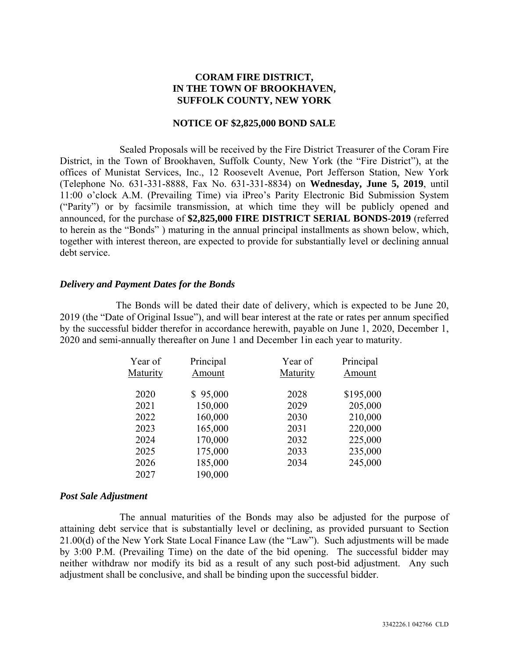# **CORAM FIRE DISTRICT, IN THE TOWN OF BROOKHAVEN, SUFFOLK COUNTY, NEW YORK**

#### **NOTICE OF \$2,825,000 BOND SALE**

Sealed Proposals will be received by the Fire District Treasurer of the Coram Fire District, in the Town of Brookhaven, Suffolk County, New York (the "Fire District"), at the offices of Munistat Services, Inc., 12 Roosevelt Avenue, Port Jefferson Station, New York (Telephone No. 631-331-8888, Fax No. 631-331-8834) on **Wednesday, June 5, 2019**, until 11:00 o'clock A.M. (Prevailing Time) via iPreo's Parity Electronic Bid Submission System ("Parity") or by facsimile transmission, at which time they will be publicly opened and announced, for the purchase of **\$2,825,000 FIRE DISTRICT SERIAL BONDS-2019** (referred to herein as the "Bonds" ) maturing in the annual principal installments as shown below, which, together with interest thereon, are expected to provide for substantially level or declining annual debt service.

#### *Delivery and Payment Dates for the Bonds*

The Bonds will be dated their date of delivery, which is expected to be June 20, 2019 (the "Date of Original Issue"), and will bear interest at the rate or rates per annum specified by the successful bidder therefor in accordance herewith, payable on June 1, 2020, December 1, 2020 and semi-annually thereafter on June 1 and December 1in each year to maturity.

| Principal | Year of  | Principal |
|-----------|----------|-----------|
| Amount    | Maturity | Amount    |
| \$95,000  | 2028     | \$195,000 |
| 150,000   | 2029     | 205,000   |
| 160,000   | 2030     | 210,000   |
| 165,000   | 2031     | 220,000   |
| 170,000   | 2032     | 225,000   |
| 175,000   | 2033     | 235,000   |
| 185,000   | 2034     | 245,000   |
| 190,000   |          |           |
|           |          |           |

#### *Post Sale Adjustment*

The annual maturities of the Bonds may also be adjusted for the purpose of attaining debt service that is substantially level or declining, as provided pursuant to Section 21.00(d) of the New York State Local Finance Law (the "Law"). Such adjustments will be made by 3:00 P.M. (Prevailing Time) on the date of the bid opening. The successful bidder may neither withdraw nor modify its bid as a result of any such post-bid adjustment. Any such adjustment shall be conclusive, and shall be binding upon the successful bidder.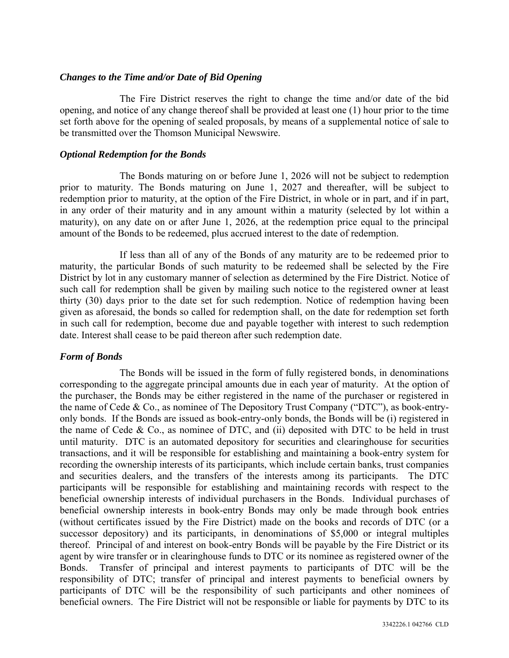#### *Changes to the Time and/or Date of Bid Opening*

The Fire District reserves the right to change the time and/or date of the bid opening, and notice of any change thereof shall be provided at least one (1) hour prior to the time set forth above for the opening of sealed proposals, by means of a supplemental notice of sale to be transmitted over the Thomson Municipal Newswire.

#### *Optional Redemption for the Bonds*

The Bonds maturing on or before June 1, 2026 will not be subject to redemption prior to maturity. The Bonds maturing on June 1, 2027 and thereafter, will be subject to redemption prior to maturity, at the option of the Fire District, in whole or in part, and if in part, in any order of their maturity and in any amount within a maturity (selected by lot within a maturity), on any date on or after June 1, 2026, at the redemption price equal to the principal amount of the Bonds to be redeemed, plus accrued interest to the date of redemption.

If less than all of any of the Bonds of any maturity are to be redeemed prior to maturity, the particular Bonds of such maturity to be redeemed shall be selected by the Fire District by lot in any customary manner of selection as determined by the Fire District. Notice of such call for redemption shall be given by mailing such notice to the registered owner at least thirty (30) days prior to the date set for such redemption. Notice of redemption having been given as aforesaid, the bonds so called for redemption shall, on the date for redemption set forth in such call for redemption, become due and payable together with interest to such redemption date. Interest shall cease to be paid thereon after such redemption date.

# *Form of Bonds*

The Bonds will be issued in the form of fully registered bonds, in denominations corresponding to the aggregate principal amounts due in each year of maturity. At the option of the purchaser, the Bonds may be either registered in the name of the purchaser or registered in the name of Cede & Co., as nominee of The Depository Trust Company ("DTC"), as book-entryonly bonds. If the Bonds are issued as book-entry-only bonds, the Bonds will be (i) registered in the name of Cede & Co., as nominee of DTC, and (ii) deposited with DTC to be held in trust until maturity. DTC is an automated depository for securities and clearinghouse for securities transactions, and it will be responsible for establishing and maintaining a book-entry system for recording the ownership interests of its participants, which include certain banks, trust companies and securities dealers, and the transfers of the interests among its participants. The DTC participants will be responsible for establishing and maintaining records with respect to the beneficial ownership interests of individual purchasers in the Bonds. Individual purchases of beneficial ownership interests in book-entry Bonds may only be made through book entries (without certificates issued by the Fire District) made on the books and records of DTC (or a successor depository) and its participants, in denominations of \$5,000 or integral multiples thereof. Principal of and interest on book-entry Bonds will be payable by the Fire District or its agent by wire transfer or in clearinghouse funds to DTC or its nominee as registered owner of the Bonds. Transfer of principal and interest payments to participants of DTC will be the responsibility of DTC; transfer of principal and interest payments to beneficial owners by participants of DTC will be the responsibility of such participants and other nominees of beneficial owners. The Fire District will not be responsible or liable for payments by DTC to its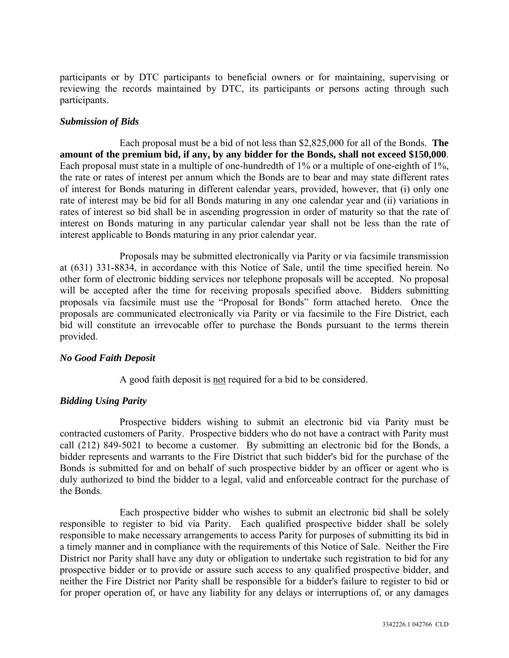participants or by DTC participants to beneficial owners or for maintaining, supervising or reviewing the records maintained by DTC, its participants or persons acting through such participants.

# *Submission of Bids*

Each proposal must be a bid of not less than \$2,825,000 for all of the Bonds. **The amount of the premium bid, if any, by any bidder for the Bonds, shall not exceed \$150,000**. Each proposal must state in a multiple of one-hundredth of 1% or a multiple of one-eighth of 1%. the rate or rates of interest per annum which the Bonds are to bear and may state different rates of interest for Bonds maturing in different calendar years, provided, however, that (i) only one rate of interest may be bid for all Bonds maturing in any one calendar year and (ii) variations in rates of interest so bid shall be in ascending progression in order of maturity so that the rate of interest on Bonds maturing in any particular calendar year shall not be less than the rate of interest applicable to Bonds maturing in any prior calendar year.

Proposals may be submitted electronically via Parity or via facsimile transmission at (631) 331-8834, in accordance with this Notice of Sale, until the time specified herein. No other form of electronic bidding services nor telephone proposals will be accepted. No proposal will be accepted after the time for receiving proposals specified above. Bidders submitting proposals via facsimile must use the "Proposal for Bonds" form attached hereto. Once the proposals are communicated electronically via Parity or via facsimile to the Fire District, each bid will constitute an irrevocable offer to purchase the Bonds pursuant to the terms therein provided.

# *No Good Faith Deposit*

A good faith deposit is not required for a bid to be considered.

# *Bidding Using Parity*

Prospective bidders wishing to submit an electronic bid via Parity must be contracted customers of Parity. Prospective bidders who do not have a contract with Parity must call (212) 849-5021 to become a customer. By submitting an electronic bid for the Bonds, a bidder represents and warrants to the Fire District that such bidder's bid for the purchase of the Bonds is submitted for and on behalf of such prospective bidder by an officer or agent who is duly authorized to bind the bidder to a legal, valid and enforceable contract for the purchase of the Bonds.

Each prospective bidder who wishes to submit an electronic bid shall be solely responsible to register to bid via Parity. Each qualified prospective bidder shall be solely responsible to make necessary arrangements to access Parity for purposes of submitting its bid in a timely manner and in compliance with the requirements of this Notice of Sale. Neither the Fire District nor Parity shall have any duty or obligation to undertake such registration to bid for any prospective bidder or to provide or assure such access to any qualified prospective bidder, and neither the Fire District nor Parity shall be responsible for a bidder's failure to register to bid or for proper operation of, or have any liability for any delays or interruptions of, or any damages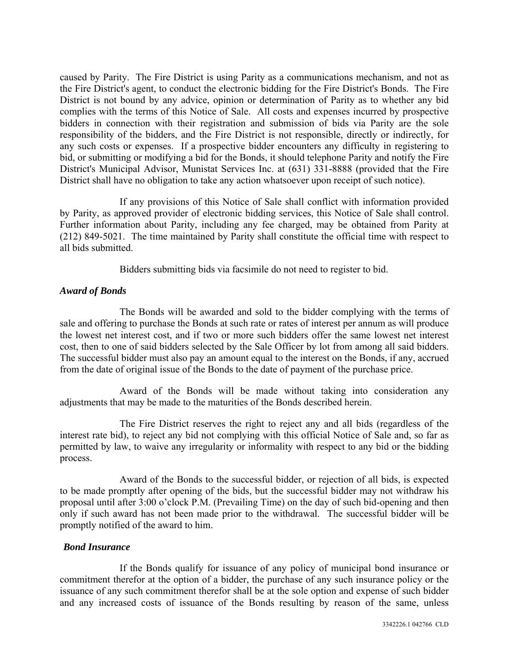caused by Parity. The Fire District is using Parity as a communications mechanism, and not as the Fire District's agent, to conduct the electronic bidding for the Fire District's Bonds. The Fire District is not bound by any advice, opinion or determination of Parity as to whether any bid complies with the terms of this Notice of Sale. All costs and expenses incurred by prospective bidders in connection with their registration and submission of bids via Parity are the sole responsibility of the bidders, and the Fire District is not responsible, directly or indirectly, for any such costs or expenses. If a prospective bidder encounters any difficulty in registering to bid, or submitting or modifying a bid for the Bonds, it should telephone Parity and notify the Fire District's Municipal Advisor, Munistat Services Inc. at (631) 331-8888 (provided that the Fire District shall have no obligation to take any action whatsoever upon receipt of such notice).

If any provisions of this Notice of Sale shall conflict with information provided by Parity, as approved provider of electronic bidding services, this Notice of Sale shall control. Further information about Parity, including any fee charged, may be obtained from Parity at (212) 849-5021. The time maintained by Parity shall constitute the official time with respect to all bids submitted.

Bidders submitting bids via facsimile do not need to register to bid.

# *Award of Bonds*

The Bonds will be awarded and sold to the bidder complying with the terms of sale and offering to purchase the Bonds at such rate or rates of interest per annum as will produce the lowest net interest cost, and if two or more such bidders offer the same lowest net interest cost, then to one of said bidders selected by the Sale Officer by lot from among all said bidders. The successful bidder must also pay an amount equal to the interest on the Bonds, if any, accrued from the date of original issue of the Bonds to the date of payment of the purchase price.

Award of the Bonds will be made without taking into consideration any adjustments that may be made to the maturities of the Bonds described herein.

The Fire District reserves the right to reject any and all bids (regardless of the interest rate bid), to reject any bid not complying with this official Notice of Sale and, so far as permitted by law, to waive any irregularity or informality with respect to any bid or the bidding process.

Award of the Bonds to the successful bidder, or rejection of all bids, is expected to be made promptly after opening of the bids, but the successful bidder may not withdraw his proposal until after 3:00 o'clock P.M. (Prevailing Time) on the day of such bid-opening and then only if such award has not been made prior to the withdrawal. The successful bidder will be promptly notified of the award to him.

# *Bond Insurance*

If the Bonds qualify for issuance of any policy of municipal bond insurance or commitment therefor at the option of a bidder, the purchase of any such insurance policy or the issuance of any such commitment therefor shall be at the sole option and expense of such bidder and any increased costs of issuance of the Bonds resulting by reason of the same, unless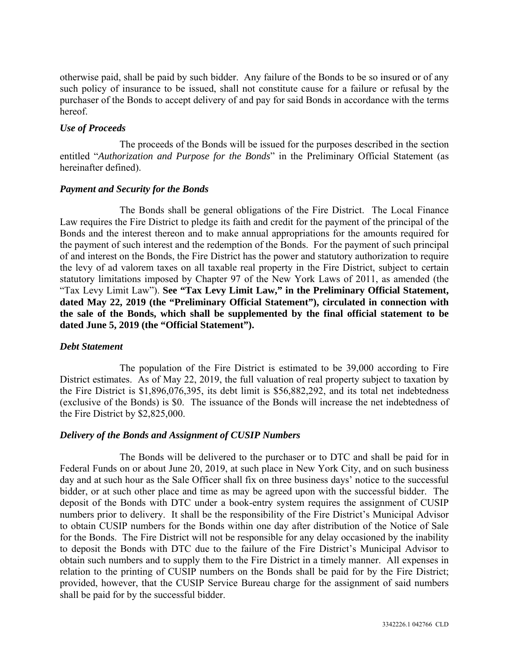otherwise paid, shall be paid by such bidder. Any failure of the Bonds to be so insured or of any such policy of insurance to be issued, shall not constitute cause for a failure or refusal by the purchaser of the Bonds to accept delivery of and pay for said Bonds in accordance with the terms hereof.

#### *Use of Proceeds*

The proceeds of the Bonds will be issued for the purposes described in the section entitled "*Authorization and Purpose for the Bonds*" in the Preliminary Official Statement (as hereinafter defined).

# *Payment and Security for the Bonds*

The Bonds shall be general obligations of the Fire District. The Local Finance Law requires the Fire District to pledge its faith and credit for the payment of the principal of the Bonds and the interest thereon and to make annual appropriations for the amounts required for the payment of such interest and the redemption of the Bonds. For the payment of such principal of and interest on the Bonds, the Fire District has the power and statutory authorization to require the levy of ad valorem taxes on all taxable real property in the Fire District, subject to certain statutory limitations imposed by Chapter 97 of the New York Laws of 2011, as amended (the "Tax Levy Limit Law"). **See "Tax Levy Limit Law," in the Preliminary Official Statement, dated May 22, 2019 (the "Preliminary Official Statement"), circulated in connection with the sale of the Bonds, which shall be supplemented by the final official statement to be dated June 5, 2019 (the "Official Statement").** 

#### *Debt Statement*

The population of the Fire District is estimated to be 39,000 according to Fire District estimates. As of May 22, 2019, the full valuation of real property subject to taxation by the Fire District is \$1,896,076,395, its debt limit is \$56,882,292, and its total net indebtedness (exclusive of the Bonds) is \$0. The issuance of the Bonds will increase the net indebtedness of the Fire District by \$2,825,000.

# *Delivery of the Bonds and Assignment of CUSIP Numbers*

The Bonds will be delivered to the purchaser or to DTC and shall be paid for in Federal Funds on or about June 20, 2019, at such place in New York City, and on such business day and at such hour as the Sale Officer shall fix on three business days' notice to the successful bidder, or at such other place and time as may be agreed upon with the successful bidder. The deposit of the Bonds with DTC under a book-entry system requires the assignment of CUSIP numbers prior to delivery. It shall be the responsibility of the Fire District's Municipal Advisor to obtain CUSIP numbers for the Bonds within one day after distribution of the Notice of Sale for the Bonds. The Fire District will not be responsible for any delay occasioned by the inability to deposit the Bonds with DTC due to the failure of the Fire District's Municipal Advisor to obtain such numbers and to supply them to the Fire District in a timely manner. All expenses in relation to the printing of CUSIP numbers on the Bonds shall be paid for by the Fire District; provided, however, that the CUSIP Service Bureau charge for the assignment of said numbers shall be paid for by the successful bidder.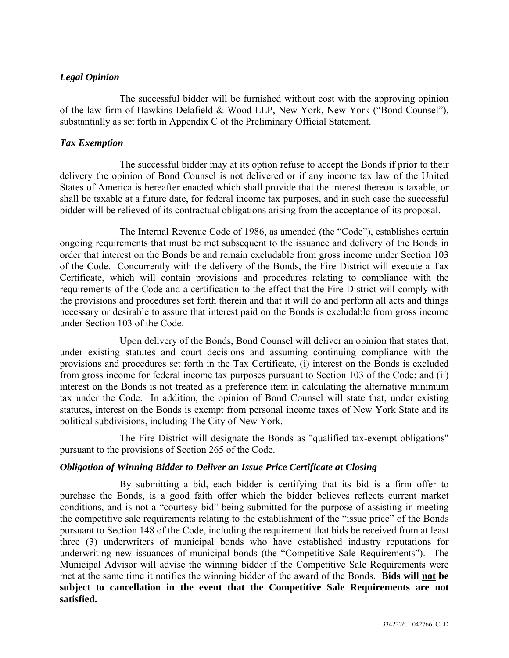# *Legal Opinion*

The successful bidder will be furnished without cost with the approving opinion of the law firm of Hawkins Delafield & Wood LLP, New York, New York ("Bond Counsel"), substantially as set forth in Appendix C of the Preliminary Official Statement.

#### *Tax Exemption*

The successful bidder may at its option refuse to accept the Bonds if prior to their delivery the opinion of Bond Counsel is not delivered or if any income tax law of the United States of America is hereafter enacted which shall provide that the interest thereon is taxable, or shall be taxable at a future date, for federal income tax purposes, and in such case the successful bidder will be relieved of its contractual obligations arising from the acceptance of its proposal.

The Internal Revenue Code of 1986, as amended (the "Code"), establishes certain ongoing requirements that must be met subsequent to the issuance and delivery of the Bonds in order that interest on the Bonds be and remain excludable from gross income under Section 103 of the Code. Concurrently with the delivery of the Bonds, the Fire District will execute a Tax Certificate, which will contain provisions and procedures relating to compliance with the requirements of the Code and a certification to the effect that the Fire District will comply with the provisions and procedures set forth therein and that it will do and perform all acts and things necessary or desirable to assure that interest paid on the Bonds is excludable from gross income under Section 103 of the Code.

Upon delivery of the Bonds, Bond Counsel will deliver an opinion that states that, under existing statutes and court decisions and assuming continuing compliance with the provisions and procedures set forth in the Tax Certificate, (i) interest on the Bonds is excluded from gross income for federal income tax purposes pursuant to Section 103 of the Code; and (ii) interest on the Bonds is not treated as a preference item in calculating the alternative minimum tax under the Code. In addition, the opinion of Bond Counsel will state that, under existing statutes, interest on the Bonds is exempt from personal income taxes of New York State and its political subdivisions, including The City of New York.

The Fire District will designate the Bonds as "qualified tax-exempt obligations" pursuant to the provisions of Section 265 of the Code.

# *Obligation of Winning Bidder to Deliver an Issue Price Certificate at Closing*

By submitting a bid, each bidder is certifying that its bid is a firm offer to purchase the Bonds, is a good faith offer which the bidder believes reflects current market conditions, and is not a "courtesy bid" being submitted for the purpose of assisting in meeting the competitive sale requirements relating to the establishment of the "issue price" of the Bonds pursuant to Section 148 of the Code, including the requirement that bids be received from at least three (3) underwriters of municipal bonds who have established industry reputations for underwriting new issuances of municipal bonds (the "Competitive Sale Requirements"). The Municipal Advisor will advise the winning bidder if the Competitive Sale Requirements were met at the same time it notifies the winning bidder of the award of the Bonds. **Bids will not be subject to cancellation in the event that the Competitive Sale Requirements are not satisfied.**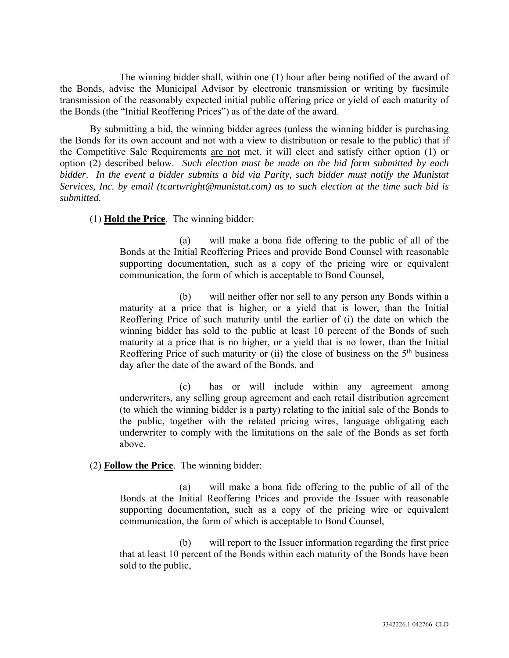The winning bidder shall, within one (1) hour after being notified of the award of the Bonds, advise the Municipal Advisor by electronic transmission or writing by facsimile transmission of the reasonably expected initial public offering price or yield of each maturity of the Bonds (the "Initial Reoffering Prices") as of the date of the award.

By submitting a bid, the winning bidder agrees (unless the winning bidder is purchasing the Bonds for its own account and not with a view to distribution or resale to the public) that if the Competitive Sale Requirements are not met, it will elect and satisfy either option (1) or option (2) described below. *Such election must be made on the bid form submitted by each bidder*. *In the event a bidder submits a bid via Parity, such bidder must notify the Munistat Services, Inc. by email (tcartwright@munistat.com) as to such election at the time such bid is submitted.* 

(1) **Hold the Price**. The winning bidder:

(a) will make a bona fide offering to the public of all of the Bonds at the Initial Reoffering Prices and provide Bond Counsel with reasonable supporting documentation, such as a copy of the pricing wire or equivalent communication, the form of which is acceptable to Bond Counsel,

(b) will neither offer nor sell to any person any Bonds within a maturity at a price that is higher, or a yield that is lower, than the Initial Reoffering Price of such maturity until the earlier of (i) the date on which the winning bidder has sold to the public at least 10 percent of the Bonds of such maturity at a price that is no higher, or a yield that is no lower, than the Initial Reoffering Price of such maturity or (ii) the close of business on the  $5<sup>th</sup>$  business day after the date of the award of the Bonds, and

(c) has or will include within any agreement among underwriters, any selling group agreement and each retail distribution agreement (to which the winning bidder is a party) relating to the initial sale of the Bonds to the public, together with the related pricing wires, language obligating each underwriter to comply with the limitations on the sale of the Bonds as set forth above.

# (2) **Follow the Price**. The winning bidder:

(a) will make a bona fide offering to the public of all of the Bonds at the Initial Reoffering Prices and provide the Issuer with reasonable supporting documentation, such as a copy of the pricing wire or equivalent communication, the form of which is acceptable to Bond Counsel,

(b) will report to the Issuer information regarding the first price that at least 10 percent of the Bonds within each maturity of the Bonds have been sold to the public,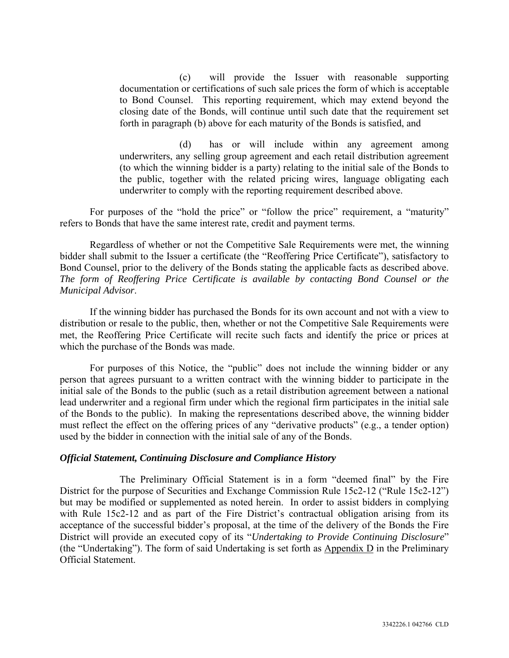(c) will provide the Issuer with reasonable supporting documentation or certifications of such sale prices the form of which is acceptable to Bond Counsel. This reporting requirement, which may extend beyond the closing date of the Bonds, will continue until such date that the requirement set forth in paragraph (b) above for each maturity of the Bonds is satisfied, and

(d) has or will include within any agreement among underwriters, any selling group agreement and each retail distribution agreement (to which the winning bidder is a party) relating to the initial sale of the Bonds to the public, together with the related pricing wires, language obligating each underwriter to comply with the reporting requirement described above.

For purposes of the "hold the price" or "follow the price" requirement, a "maturity" refers to Bonds that have the same interest rate, credit and payment terms.

Regardless of whether or not the Competitive Sale Requirements were met, the winning bidder shall submit to the Issuer a certificate (the "Reoffering Price Certificate"), satisfactory to Bond Counsel, prior to the delivery of the Bonds stating the applicable facts as described above. *The form of Reoffering Price Certificate is available by contacting Bond Counsel or the Municipal Advisor*.

If the winning bidder has purchased the Bonds for its own account and not with a view to distribution or resale to the public, then, whether or not the Competitive Sale Requirements were met, the Reoffering Price Certificate will recite such facts and identify the price or prices at which the purchase of the Bonds was made.

For purposes of this Notice, the "public" does not include the winning bidder or any person that agrees pursuant to a written contract with the winning bidder to participate in the initial sale of the Bonds to the public (such as a retail distribution agreement between a national lead underwriter and a regional firm under which the regional firm participates in the initial sale of the Bonds to the public). In making the representations described above, the winning bidder must reflect the effect on the offering prices of any "derivative products" (e.g., a tender option) used by the bidder in connection with the initial sale of any of the Bonds.

#### *Official Statement, Continuing Disclosure and Compliance History*

The Preliminary Official Statement is in a form "deemed final" by the Fire District for the purpose of Securities and Exchange Commission Rule 15c2-12 ("Rule 15c2-12") but may be modified or supplemented as noted herein. In order to assist bidders in complying with Rule 15c2-12 and as part of the Fire District's contractual obligation arising from its acceptance of the successful bidder's proposal, at the time of the delivery of the Bonds the Fire District will provide an executed copy of its "*Undertaking to Provide Continuing Disclosure*" (the "Undertaking"). The form of said Undertaking is set forth as Appendix D in the Preliminary Official Statement.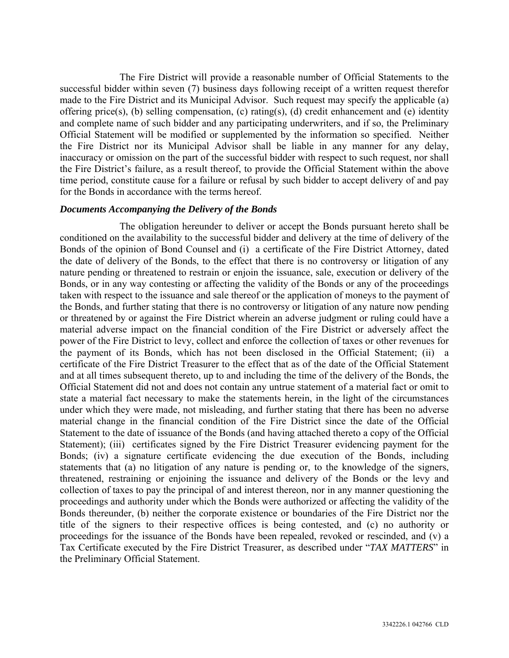The Fire District will provide a reasonable number of Official Statements to the successful bidder within seven (7) business days following receipt of a written request therefor made to the Fire District and its Municipal Advisor. Such request may specify the applicable (a) offering price(s), (b) selling compensation, (c) rating(s), (d) credit enhancement and (e) identity and complete name of such bidder and any participating underwriters, and if so, the Preliminary Official Statement will be modified or supplemented by the information so specified. Neither the Fire District nor its Municipal Advisor shall be liable in any manner for any delay, inaccuracy or omission on the part of the successful bidder with respect to such request, nor shall the Fire District's failure, as a result thereof, to provide the Official Statement within the above time period, constitute cause for a failure or refusal by such bidder to accept delivery of and pay for the Bonds in accordance with the terms hereof.

#### *Documents Accompanying the Delivery of the Bonds*

The obligation hereunder to deliver or accept the Bonds pursuant hereto shall be conditioned on the availability to the successful bidder and delivery at the time of delivery of the Bonds of the opinion of Bond Counsel and (i) a certificate of the Fire District Attorney, dated the date of delivery of the Bonds, to the effect that there is no controversy or litigation of any nature pending or threatened to restrain or enjoin the issuance, sale, execution or delivery of the Bonds, or in any way contesting or affecting the validity of the Bonds or any of the proceedings taken with respect to the issuance and sale thereof or the application of moneys to the payment of the Bonds, and further stating that there is no controversy or litigation of any nature now pending or threatened by or against the Fire District wherein an adverse judgment or ruling could have a material adverse impact on the financial condition of the Fire District or adversely affect the power of the Fire District to levy, collect and enforce the collection of taxes or other revenues for the payment of its Bonds, which has not been disclosed in the Official Statement; (ii) a certificate of the Fire District Treasurer to the effect that as of the date of the Official Statement and at all times subsequent thereto, up to and including the time of the delivery of the Bonds, the Official Statement did not and does not contain any untrue statement of a material fact or omit to state a material fact necessary to make the statements herein, in the light of the circumstances under which they were made, not misleading, and further stating that there has been no adverse material change in the financial condition of the Fire District since the date of the Official Statement to the date of issuance of the Bonds (and having attached thereto a copy of the Official Statement); (iii) certificates signed by the Fire District Treasurer evidencing payment for the Bonds; (iv) a signature certificate evidencing the due execution of the Bonds, including statements that (a) no litigation of any nature is pending or, to the knowledge of the signers, threatened, restraining or enjoining the issuance and delivery of the Bonds or the levy and collection of taxes to pay the principal of and interest thereon, nor in any manner questioning the proceedings and authority under which the Bonds were authorized or affecting the validity of the Bonds thereunder, (b) neither the corporate existence or boundaries of the Fire District nor the title of the signers to their respective offices is being contested, and (c) no authority or proceedings for the issuance of the Bonds have been repealed, revoked or rescinded, and (v) a Tax Certificate executed by the Fire District Treasurer, as described under "*TAX MATTERS*" in the Preliminary Official Statement.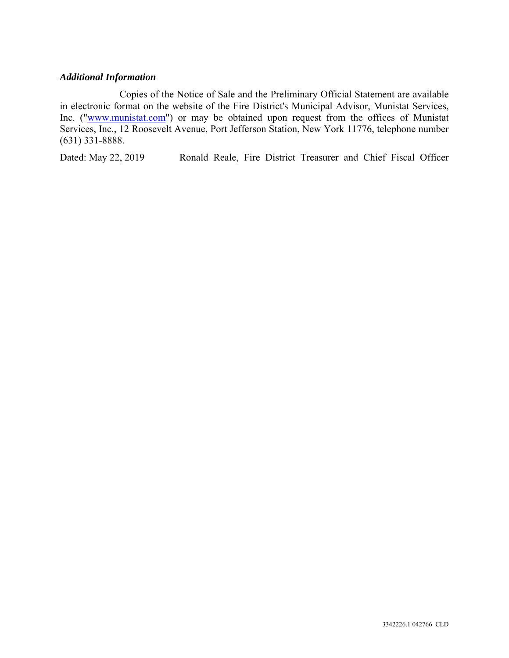#### *Additional Information*

Copies of the Notice of Sale and the Preliminary Official Statement are available in electronic format on the website of the Fire District's Municipal Advisor, Munistat Services, Inc. ("www.munistat.com") or may be obtained upon request from the offices of Munistat Services, Inc., 12 Roosevelt Avenue, Port Jefferson Station, New York 11776, telephone number (631) 331-8888.

Dated: May 22, 2019 Ronald Reale, Fire District Treasurer and Chief Fiscal Officer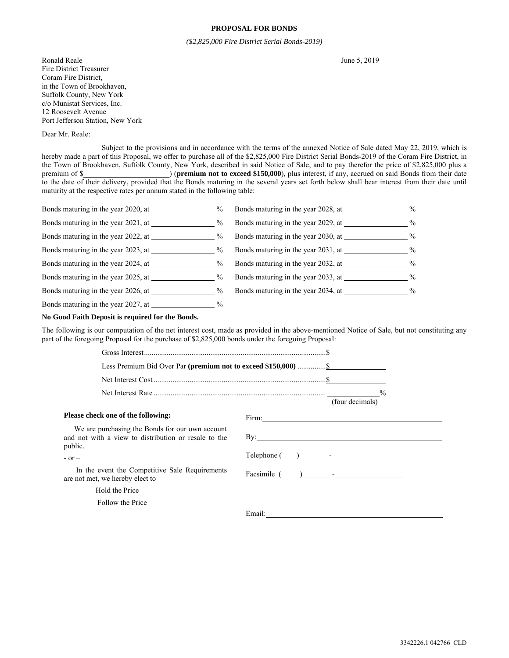#### **PROPOSAL FOR BONDS**

*(\$2,825,000 Fire District Serial Bonds-2019)* 

Ronald Reale June 5, 2019 Fire District Treasurer Coram Fire District, in the Town of Brookhaven, Suffolk County, New York c/o Munistat Services, Inc. 12 Roosevelt Avenue Port Jefferson Station, New York

#### Dear Mr. Reale:

Subject to the provisions and in accordance with the terms of the annexed Notice of Sale dated May 22, 2019, which is hereby made a part of this Proposal, we offer to purchase all of the \$2,825,000 Fire District Serial Bonds-2019 of the Coram Fire District, in the Town of Brookhaven, Suffolk County, New York, described in said Notice of Sale, and to pay therefor the price of \$2,825,000 plus a premium of \$\_\_\_\_\_\_\_\_\_\_\_\_\_\_\_\_\_\_\_\_\_\_\_) (**premium not to exceed \$150,000**), plus interest, if any, accrued on said Bonds from their date to the date of their delivery, provided that the Bonds maturing in the several years set forth below shall bear interest from their date until maturity at the respective rates per annum stated in the following table:

|                                     | $\frac{0}{0}$ | Bonds maturing in the year 2028, at | $\frac{0}{0}$ |
|-------------------------------------|---------------|-------------------------------------|---------------|
| Bonds maturing in the year 2021, at | $\%$          | Bonds maturing in the year 2029, at | $\%$          |
|                                     | $\%$          |                                     | $\%$          |
| Bonds maturing in the year 2023, at | $\%$          | Bonds maturing in the year 2031, at | $\frac{0}{0}$ |
| Bonds maturing in the year 2024, at | $\frac{0}{0}$ | Bonds maturing in the year 2032, at | $\frac{0}{0}$ |
|                                     | $\%$          | Bonds maturing in the year 2033, at | $\frac{0}{0}$ |
| Bonds maturing in the year 2026, at | $\frac{0}{0}$ | Bonds maturing in the year 2034, at | $\frac{0}{0}$ |
| Bonds maturing in the year 2027, at | $\%$          |                                     |               |

#### **No Good Faith Deposit is required for the Bonds.**

The following is our computation of the net interest cost, made as provided in the above-mentioned Notice of Sale, but not constituting any part of the foregoing Proposal for the purchase of \$2,825,000 bonds under the foregoing Proposal:

|                                                                                                                    |             | (four decimals)           |
|--------------------------------------------------------------------------------------------------------------------|-------------|---------------------------|
| Please check one of the following:                                                                                 |             |                           |
| We are purchasing the Bonds for our own account<br>and not with a view to distribution or resale to the<br>public. |             | $\mathbf{B} \mathbf{v}$ : |
| $-$ or $-$                                                                                                         | Telephone ( |                           |
| In the event the Competitive Sale Requirements<br>are not met, we hereby elect to                                  | Facsimile ( |                           |
| Hold the Price                                                                                                     |             |                           |
| Follow the Price                                                                                                   |             |                           |
|                                                                                                                    |             |                           |
|                                                                                                                    |             |                           |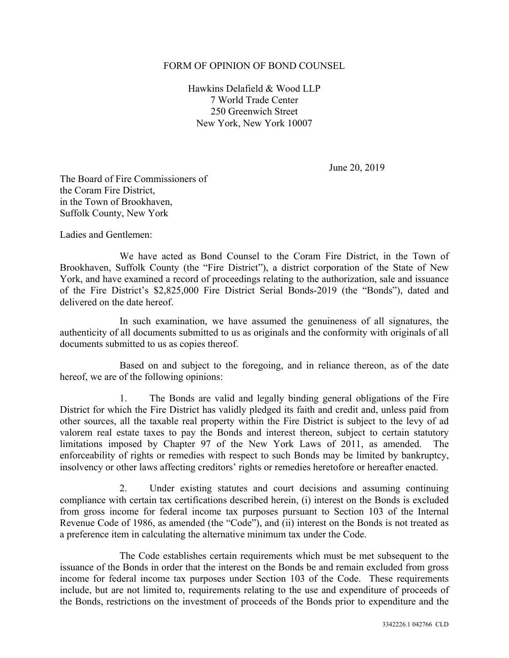#### FORM OF OPINION OF BOND COUNSEL

Hawkins Delafield & Wood LLP 7 World Trade Center 250 Greenwich Street New York, New York 10007

June 20, 2019

The Board of Fire Commissioners of the Coram Fire District, in the Town of Brookhaven, Suffolk County, New York

Ladies and Gentlemen:

We have acted as Bond Counsel to the Coram Fire District, in the Town of Brookhaven, Suffolk County (the "Fire District"), a district corporation of the State of New York, and have examined a record of proceedings relating to the authorization, sale and issuance of the Fire District's \$2,825,000 Fire District Serial Bonds-2019 (the "Bonds"), dated and delivered on the date hereof.

In such examination, we have assumed the genuineness of all signatures, the authenticity of all documents submitted to us as originals and the conformity with originals of all documents submitted to us as copies thereof.

Based on and subject to the foregoing, and in reliance thereon, as of the date hereof, we are of the following opinions:

1. The Bonds are valid and legally binding general obligations of the Fire District for which the Fire District has validly pledged its faith and credit and, unless paid from other sources, all the taxable real property within the Fire District is subject to the levy of ad valorem real estate taxes to pay the Bonds and interest thereon, subject to certain statutory limitations imposed by Chapter 97 of the New York Laws of 2011, as amended. The enforceability of rights or remedies with respect to such Bonds may be limited by bankruptcy, insolvency or other laws affecting creditors' rights or remedies heretofore or hereafter enacted.

2. Under existing statutes and court decisions and assuming continuing compliance with certain tax certifications described herein, (i) interest on the Bonds is excluded from gross income for federal income tax purposes pursuant to Section 103 of the Internal Revenue Code of 1986, as amended (the "Code"), and (ii) interest on the Bonds is not treated as a preference item in calculating the alternative minimum tax under the Code.

The Code establishes certain requirements which must be met subsequent to the issuance of the Bonds in order that the interest on the Bonds be and remain excluded from gross income for federal income tax purposes under Section 103 of the Code. These requirements include, but are not limited to, requirements relating to the use and expenditure of proceeds of the Bonds, restrictions on the investment of proceeds of the Bonds prior to expenditure and the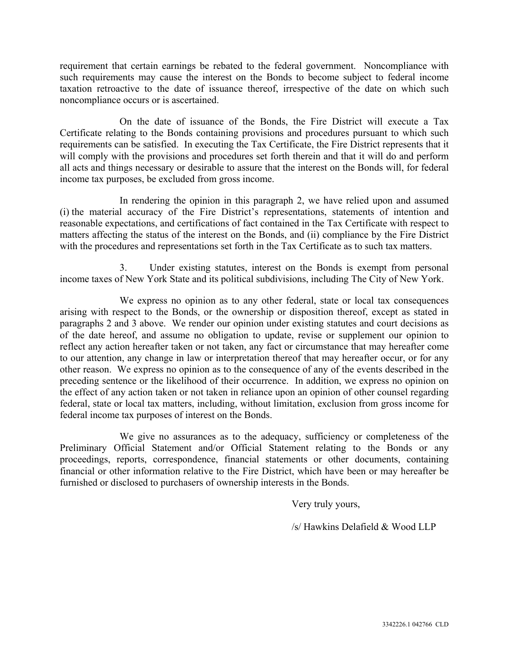requirement that certain earnings be rebated to the federal government. Noncompliance with such requirements may cause the interest on the Bonds to become subject to federal income taxation retroactive to the date of issuance thereof, irrespective of the date on which such noncompliance occurs or is ascertained.

On the date of issuance of the Bonds, the Fire District will execute a Tax Certificate relating to the Bonds containing provisions and procedures pursuant to which such requirements can be satisfied. In executing the Tax Certificate, the Fire District represents that it will comply with the provisions and procedures set forth therein and that it will do and perform all acts and things necessary or desirable to assure that the interest on the Bonds will, for federal income tax purposes, be excluded from gross income.

In rendering the opinion in this paragraph 2, we have relied upon and assumed (i) the material accuracy of the Fire District's representations, statements of intention and reasonable expectations, and certifications of fact contained in the Tax Certificate with respect to matters affecting the status of the interest on the Bonds, and (ii) compliance by the Fire District with the procedures and representations set forth in the Tax Certificate as to such tax matters.

3. Under existing statutes, interest on the Bonds is exempt from personal income taxes of New York State and its political subdivisions, including The City of New York.

We express no opinion as to any other federal, state or local tax consequences arising with respect to the Bonds, or the ownership or disposition thereof, except as stated in paragraphs 2 and 3 above. We render our opinion under existing statutes and court decisions as of the date hereof, and assume no obligation to update, revise or supplement our opinion to reflect any action hereafter taken or not taken, any fact or circumstance that may hereafter come to our attention, any change in law or interpretation thereof that may hereafter occur, or for any other reason. We express no opinion as to the consequence of any of the events described in the preceding sentence or the likelihood of their occurrence. In addition, we express no opinion on the effect of any action taken or not taken in reliance upon an opinion of other counsel regarding federal, state or local tax matters, including, without limitation, exclusion from gross income for federal income tax purposes of interest on the Bonds.

We give no assurances as to the adequacy, sufficiency or completeness of the Preliminary Official Statement and/or Official Statement relating to the Bonds or any proceedings, reports, correspondence, financial statements or other documents, containing financial or other information relative to the Fire District, which have been or may hereafter be furnished or disclosed to purchasers of ownership interests in the Bonds.

Very truly yours,

/s/ Hawkins Delafield & Wood LLP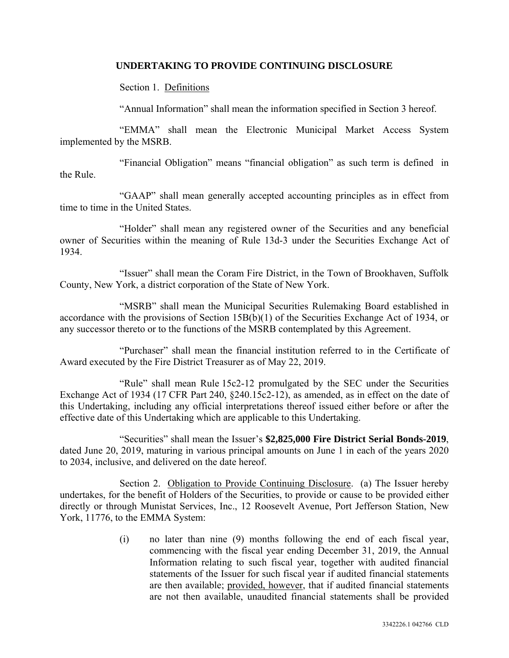#### **UNDERTAKING TO PROVIDE CONTINUING DISCLOSURE**

Section 1. Definitions

"Annual Information" shall mean the information specified in Section 3 hereof.

"EMMA" shall mean the Electronic Municipal Market Access System implemented by the MSRB.

"Financial Obligation" means "financial obligation" as such term is defined in the Rule.

"GAAP" shall mean generally accepted accounting principles as in effect from time to time in the United States.

"Holder" shall mean any registered owner of the Securities and any beneficial owner of Securities within the meaning of Rule 13d-3 under the Securities Exchange Act of 1934.

"Issuer" shall mean the Coram Fire District, in the Town of Brookhaven, Suffolk County, New York, a district corporation of the State of New York.

"MSRB" shall mean the Municipal Securities Rulemaking Board established in accordance with the provisions of Section 15B(b)(1) of the Securities Exchange Act of 1934, or any successor thereto or to the functions of the MSRB contemplated by this Agreement.

"Purchaser" shall mean the financial institution referred to in the Certificate of Award executed by the Fire District Treasurer as of May 22, 2019.

"Rule" shall mean Rule 15c2-12 promulgated by the SEC under the Securities Exchange Act of 1934 (17 CFR Part 240, §240.15c2-12), as amended, as in effect on the date of this Undertaking, including any official interpretations thereof issued either before or after the effective date of this Undertaking which are applicable to this Undertaking.

"Securities" shall mean the Issuer's **\$2,825,000 Fire District Serial Bonds-2019**, dated June 20, 2019, maturing in various principal amounts on June 1 in each of the years 2020 to 2034, inclusive, and delivered on the date hereof.

Section 2. Obligation to Provide Continuing Disclosure. (a) The Issuer hereby undertakes, for the benefit of Holders of the Securities, to provide or cause to be provided either directly or through Munistat Services, Inc., 12 Roosevelt Avenue, Port Jefferson Station, New York, 11776, to the EMMA System:

> (i) no later than nine (9) months following the end of each fiscal year, commencing with the fiscal year ending December 31, 2019, the Annual Information relating to such fiscal year, together with audited financial statements of the Issuer for such fiscal year if audited financial statements are then available; provided, however, that if audited financial statements are not then available, unaudited financial statements shall be provided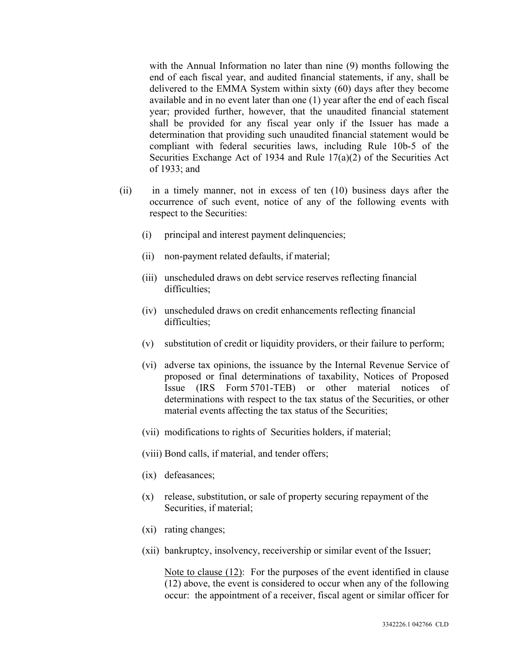with the Annual Information no later than nine (9) months following the end of each fiscal year, and audited financial statements, if any, shall be delivered to the EMMA System within sixty (60) days after they become available and in no event later than one (1) year after the end of each fiscal year; provided further, however, that the unaudited financial statement shall be provided for any fiscal year only if the Issuer has made a determination that providing such unaudited financial statement would be compliant with federal securities laws, including Rule 10b-5 of the Securities Exchange Act of 1934 and Rule 17(a)(2) of the Securities Act of 1933; and

- (ii) in a timely manner, not in excess of ten (10) business days after the occurrence of such event, notice of any of the following events with respect to the Securities:
	- (i) principal and interest payment delinquencies;
	- (ii) non-payment related defaults, if material;
	- (iii) unscheduled draws on debt service reserves reflecting financial difficulties;
	- (iv) unscheduled draws on credit enhancements reflecting financial difficulties;
	- (v) substitution of credit or liquidity providers, or their failure to perform;
	- (vi) adverse tax opinions, the issuance by the Internal Revenue Service of proposed or final determinations of taxability, Notices of Proposed Issue (IRS Form 5701-TEB) or other material notices of determinations with respect to the tax status of the Securities, or other material events affecting the tax status of the Securities;
	- (vii) modifications to rights of Securities holders, if material;
	- (viii) Bond calls, if material, and tender offers;
	- (ix) defeasances;
	- (x) release, substitution, or sale of property securing repayment of the Securities, if material;
	- (xi) rating changes;
	- (xii) bankruptcy, insolvency, receivership or similar event of the Issuer;

 Note to clause (12): For the purposes of the event identified in clause (12) above, the event is considered to occur when any of the following occur: the appointment of a receiver, fiscal agent or similar officer for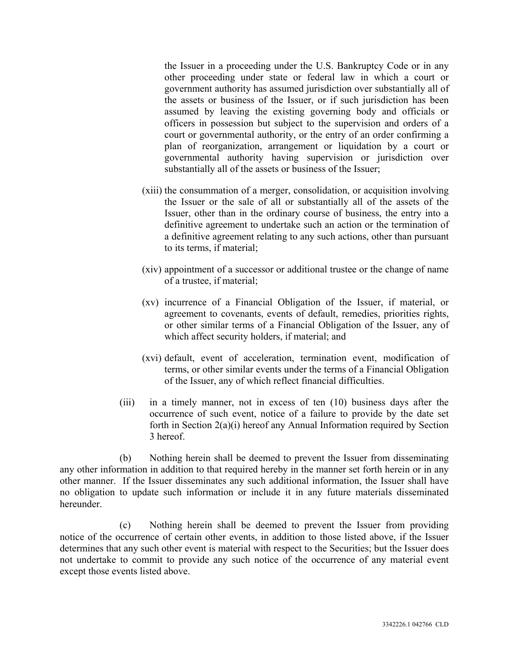the Issuer in a proceeding under the U.S. Bankruptcy Code or in any other proceeding under state or federal law in which a court or government authority has assumed jurisdiction over substantially all of the assets or business of the Issuer, or if such jurisdiction has been assumed by leaving the existing governing body and officials or officers in possession but subject to the supervision and orders of a court or governmental authority, or the entry of an order confirming a plan of reorganization, arrangement or liquidation by a court or governmental authority having supervision or jurisdiction over substantially all of the assets or business of the Issuer;

- (xiii) the consummation of a merger, consolidation, or acquisition involving the Issuer or the sale of all or substantially all of the assets of the Issuer, other than in the ordinary course of business, the entry into a definitive agreement to undertake such an action or the termination of a definitive agreement relating to any such actions, other than pursuant to its terms, if material;
- (xiv) appointment of a successor or additional trustee or the change of name of a trustee, if material;
- (xv) incurrence of a Financial Obligation of the Issuer, if material, or agreement to covenants, events of default, remedies, priorities rights, or other similar terms of a Financial Obligation of the Issuer, any of which affect security holders, if material; and
- (xvi) default, event of acceleration, termination event, modification of terms, or other similar events under the terms of a Financial Obligation of the Issuer, any of which reflect financial difficulties.
- (iii) in a timely manner, not in excess of ten (10) business days after the occurrence of such event, notice of a failure to provide by the date set forth in Section 2(a)(i) hereof any Annual Information required by Section 3 hereof.

(b) Nothing herein shall be deemed to prevent the Issuer from disseminating any other information in addition to that required hereby in the manner set forth herein or in any other manner. If the Issuer disseminates any such additional information, the Issuer shall have no obligation to update such information or include it in any future materials disseminated hereunder.

(c) Nothing herein shall be deemed to prevent the Issuer from providing notice of the occurrence of certain other events, in addition to those listed above, if the Issuer determines that any such other event is material with respect to the Securities; but the Issuer does not undertake to commit to provide any such notice of the occurrence of any material event except those events listed above.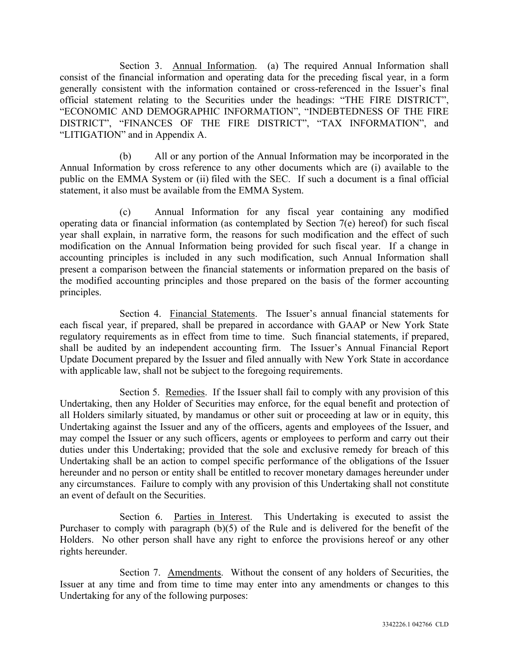Section 3. Annual Information. (a) The required Annual Information shall consist of the financial information and operating data for the preceding fiscal year, in a form generally consistent with the information contained or cross-referenced in the Issuer's final official statement relating to the Securities under the headings: "THE FIRE DISTRICT", "ECONOMIC AND DEMOGRAPHIC INFORMATION", "INDEBTEDNESS OF THE FIRE DISTRICT", "FINANCES OF THE FIRE DISTRICT", "TAX INFORMATION", and "LITIGATION" and in Appendix A.

(b) All or any portion of the Annual Information may be incorporated in the Annual Information by cross reference to any other documents which are (i) available to the public on the EMMA System or (ii) filed with the SEC. If such a document is a final official statement, it also must be available from the EMMA System.

(c) Annual Information for any fiscal year containing any modified operating data or financial information (as contemplated by Section 7(e) hereof) for such fiscal year shall explain, in narrative form, the reasons for such modification and the effect of such modification on the Annual Information being provided for such fiscal year. If a change in accounting principles is included in any such modification, such Annual Information shall present a comparison between the financial statements or information prepared on the basis of the modified accounting principles and those prepared on the basis of the former accounting principles.

Section 4. Financial Statements. The Issuer's annual financial statements for each fiscal year, if prepared, shall be prepared in accordance with GAAP or New York State regulatory requirements as in effect from time to time. Such financial statements, if prepared, shall be audited by an independent accounting firm. The Issuer's Annual Financial Report Update Document prepared by the Issuer and filed annually with New York State in accordance with applicable law, shall not be subject to the foregoing requirements.

Section 5. Remedies. If the Issuer shall fail to comply with any provision of this Undertaking, then any Holder of Securities may enforce, for the equal benefit and protection of all Holders similarly situated, by mandamus or other suit or proceeding at law or in equity, this Undertaking against the Issuer and any of the officers, agents and employees of the Issuer, and may compel the Issuer or any such officers, agents or employees to perform and carry out their duties under this Undertaking; provided that the sole and exclusive remedy for breach of this Undertaking shall be an action to compel specific performance of the obligations of the Issuer hereunder and no person or entity shall be entitled to recover monetary damages hereunder under any circumstances. Failure to comply with any provision of this Undertaking shall not constitute an event of default on the Securities.

Section 6. Parties in Interest. This Undertaking is executed to assist the Purchaser to comply with paragraph (b)(5) of the Rule and is delivered for the benefit of the Holders. No other person shall have any right to enforce the provisions hereof or any other rights hereunder.

Section 7. Amendments. Without the consent of any holders of Securities, the Issuer at any time and from time to time may enter into any amendments or changes to this Undertaking for any of the following purposes: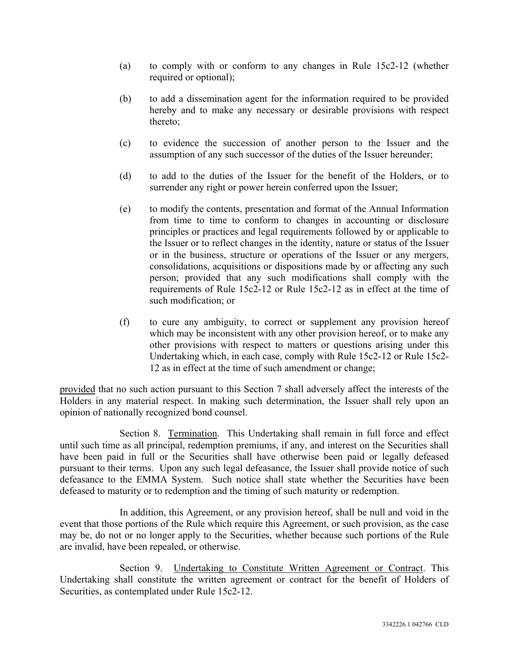- (a) to comply with or conform to any changes in Rule 15c2-12 (whether required or optional);
- (b) to add a dissemination agent for the information required to be provided hereby and to make any necessary or desirable provisions with respect thereto;
- (c) to evidence the succession of another person to the Issuer and the assumption of any such successor of the duties of the Issuer hereunder;
- (d) to add to the duties of the Issuer for the benefit of the Holders, or to surrender any right or power herein conferred upon the Issuer;
- (e) to modify the contents, presentation and format of the Annual Information from time to time to conform to changes in accounting or disclosure principles or practices and legal requirements followed by or applicable to the Issuer or to reflect changes in the identity, nature or status of the Issuer or in the business, structure or operations of the Issuer or any mergers, consolidations, acquisitions or dispositions made by or affecting any such person; provided that any such modifications shall comply with the requirements of Rule 15c2-12 or Rule 15c2-12 as in effect at the time of such modification; or
- (f) to cure any ambiguity, to correct or supplement any provision hereof which may be inconsistent with any other provision hereof, or to make any other provisions with respect to matters or questions arising under this Undertaking which, in each case, comply with Rule 15c2-12 or Rule 15c2- 12 as in effect at the time of such amendment or change;

provided that no such action pursuant to this Section 7 shall adversely affect the interests of the Holders in any material respect. In making such determination, the Issuer shall rely upon an opinion of nationally recognized bond counsel.

Section 8. Termination. This Undertaking shall remain in full force and effect until such time as all principal, redemption premiums, if any, and interest on the Securities shall have been paid in full or the Securities shall have otherwise been paid or legally defeased pursuant to their terms. Upon any such legal defeasance, the Issuer shall provide notice of such defeasance to the EMMA System. Such notice shall state whether the Securities have been defeased to maturity or to redemption and the timing of such maturity or redemption.

In addition, this Agreement, or any provision hereof, shall be null and void in the event that those portions of the Rule which require this Agreement, or such provision, as the case may be, do not or no longer apply to the Securities, whether because such portions of the Rule are invalid, have been repealed, or otherwise.

Section 9. Undertaking to Constitute Written Agreement or Contract. This Undertaking shall constitute the written agreement or contract for the benefit of Holders of Securities, as contemplated under Rule 15c2-12.